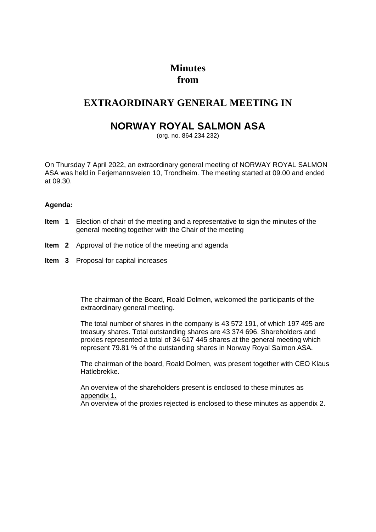# **Minutes from**

### **EXTRAORDINARY GENERAL MEETING IN**

## **NORWAY ROYAL SALMON ASA**

(org. no. 864 234 232)

On Thursday 7 April 2022, an extraordinary general meeting of NORWAY ROYAL SALMON ASA was held in Ferjemannsveien 10, Trondheim. The meeting started at 09.00 and ended at 09.30.

### **Agenda:**

- **Item 1** Election of chair of the meeting and a representative to sign the minutes of the general meeting together with the Chair of the meeting
- **Item 2** Approval of the notice of the meeting and agenda
- **Item 3** Proposal for capital increases

The chairman of the Board, Roald Dolmen, welcomed the participants of the extraordinary general meeting.

The total number of shares in the company is 43 572 191, of which 197 495 are treasury shares. Total outstanding shares are 43 374 696. Shareholders and proxies represented a total of 34 617 445 shares at the general meeting which represent 79.81 % of the outstanding shares in Norway Royal Salmon ASA.

The chairman of the board, Roald Dolmen, was present together with CEO Klaus Hatlebrekke.

An overview of the shareholders present is enclosed to these minutes as appendix 1.

An overview of the proxies rejected is enclosed to these minutes as appendix 2.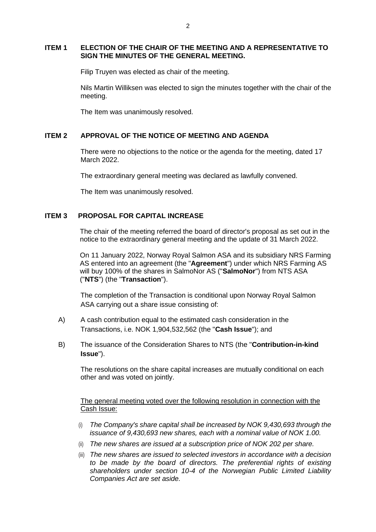#### **ITEM 1 ELECTION OF THE CHAIR OF THE MEETING AND A REPRESENTATIVE TO SIGN THE MINUTES OF THE GENERAL MEETING.**

Filip Truyen was elected as chair of the meeting.

Nils Martin Williksen was elected to sign the minutes together with the chair of the meeting.

The Item was unanimously resolved.

#### **ITEM 2 APPROVAL OF THE NOTICE OF MEETING AND AGENDA**

There were no objections to the notice or the agenda for the meeting, dated 17 March 2022.

The extraordinary general meeting was declared as lawfully convened.

The Item was unanimously resolved.

#### **ITEM 3 PROPOSAL FOR CAPITAL INCREASE**

The chair of the meeting referred the board of director's proposal as set out in the notice to the extraordinary general meeting and the update of 31 March 2022.

On 11 January 2022, Norway Royal Salmon ASA and its subsidiary NRS Farming AS entered into an agreement (the "**Agreement**") under which NRS Farming AS will buy 100% of the shares in SalmoNor AS ("**SalmoNor**") from NTS ASA ("**NTS**") (the "**Transaction**").

The completion of the Transaction is conditional upon Norway Royal Salmon ASA carrying out a share issue consisting of:

- A) A cash contribution equal to the estimated cash consideration in the Transactions, i.e. NOK 1,904,532,562 (the "**Cash Issue**"); and
- B) The issuance of the Consideration Shares to NTS (the "**Contribution-in-kind Issue**").

The resolutions on the share capital increases are mutually conditional on each other and was voted on jointly.

The general meeting voted over the following resolution in connection with the Cash Issue:

- (i) *The Company's share capital shall be increased by NOK 9,430,693 through the issuance of 9,430,693 new shares, each with a nominal value of NOK 1.00.*
- (ii) *The new shares are issued at a subscription price of NOK 202 per share.*
- (iii) *The new shares are issued to selected investors in accordance with a decision to be made by the board of directors. The preferential rights of existing shareholders under section 10-4 of the Norwegian Public Limited Liability Companies Act are set aside.*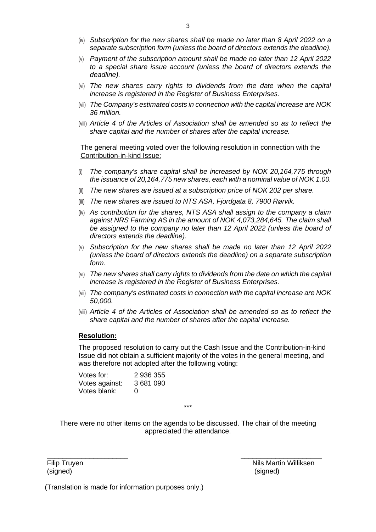- (iv) *Subscription for the new shares shall be made no later than 8 April 2022 on a separate subscription form (unless the board of directors extends the deadline).*
- (v) *Payment of the subscription amount shall be made no later than 12 April 2022 to a special share issue account (unless the board of directors extends the deadline).*
- (vi) *The new shares carry rights to dividends from the date when the capital increase is registered in the Register of Business Enterprises.*
- (vii) *The Company's estimated costs in connection with the capital increase are NOK 36 million.*
- (viii) *Article 4 of the Articles of Association shall be amended so as to reflect the share capital and the number of shares after the capital increase.*

#### The general meeting voted over the following resolution in connection with the Contribution-in-kind Issue:

- (i) *The company's share capital shall be increased by NOK 20,164,775 through the issuance of 20,164,775 new shares, each with a nominal value of NOK 1.00.*
- (ii) *The new shares are issued at a subscription price of NOK 202 per share.*
- (iii) *The new shares are issued to NTS ASA, Fjordgata 8, 7900 Rørvik.*
- (iv) *As contribution for the shares, NTS ASA shall assign to the company a claim against NRS Farming AS in the amount of NOK 4,073,284,645. The claim shall*  be assigned to the company no later than 12 April 2022 (unless the board of *directors extends the deadline).*
- (v) *Subscription for the new shares shall be made no later than 12 April 2022 (unless the board of directors extends the deadline) on a separate subscription form.*
- (vi) *The new shares shall carry rights to dividends from the date on which the capital increase is registered in the Register of Business Enterprises.*
- (vii) *The company's estimated costs in connection with the capital increase are NOK 50,000.*
- (viii) *Article 4 of the Articles of Association shall be amended so as to reflect the share capital and the number of shares after the capital increase.*

#### **Resolution:**

The proposed resolution to carry out the Cash Issue and the Contribution-in-kind Issue did not obtain a sufficient majority of the votes in the general meeting, and was therefore not adopted after the following voting:

| Votes for:     | 2 936 355 |
|----------------|-----------|
| Votes against: | 3681090   |
| Votes blank:   | $\Omega$  |

\*\*\*

There were no other items on the agenda to be discussed. The chair of the meeting appreciated the attendance.

 $\overline{\phantom{a}}$  , and the contract of the contract of the contract of the contract of the contract of the contract of the contract of the contract of the contract of the contract of the contract of the contract of the contrac

Filip Truyen (signed)

 Nils Martin Williksen (signed)

(Translation is made for information purposes only.)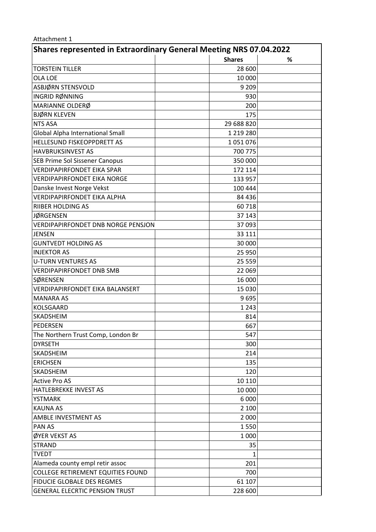#### Attachment 1

| <b>Shares represented in Extraordinary General Meeting NRS 07.04.2022</b> |               |   |  |  |  |  |  |
|---------------------------------------------------------------------------|---------------|---|--|--|--|--|--|
|                                                                           | <b>Shares</b> | % |  |  |  |  |  |
| <b>TORSTEIN TILLER</b>                                                    | 28 600        |   |  |  |  |  |  |
| <b>OLA LOE</b>                                                            | 10 000        |   |  |  |  |  |  |
| ASBJØRN STENSVOLD                                                         | 9 2 0 9       |   |  |  |  |  |  |
| INGRID RØNNING                                                            | 930           |   |  |  |  |  |  |
| MARIANNE OLDERØ                                                           | 200           |   |  |  |  |  |  |
| <b>BJØRN KLEVEN</b>                                                       | 175           |   |  |  |  |  |  |
| <b>NTS ASA</b>                                                            | 29 688 820    |   |  |  |  |  |  |
| Global Alpha International Small                                          | 1 219 280     |   |  |  |  |  |  |
| HELLESUND FISKEOPPDRETT AS                                                | 1051076       |   |  |  |  |  |  |
| <b>HAVBRUKSINVEST AS</b>                                                  | 700 775       |   |  |  |  |  |  |
| SEB Prime Sol Sissener Canopus                                            | 350 000       |   |  |  |  |  |  |
| <b>VERDIPAPIRFONDET EIKA SPAR</b>                                         | 172 114       |   |  |  |  |  |  |
| <b>VERDIPAPIRFONDET EIKA NORGE</b>                                        | 133 957       |   |  |  |  |  |  |
| Danske Invest Norge Vekst                                                 | 100 444       |   |  |  |  |  |  |
| <b>VERDIPAPIRFONDET EIKA ALPHA</b>                                        | 84 436        |   |  |  |  |  |  |
| <b>RIIBER HOLDING AS</b>                                                  | 60718         |   |  |  |  |  |  |
| <b>JØRGENSEN</b>                                                          | 37 143        |   |  |  |  |  |  |
| <b>VERDIPAPIRFONDET DNB NORGE PENSJON</b>                                 | 37093         |   |  |  |  |  |  |
| <b>JENSEN</b>                                                             | 33 111        |   |  |  |  |  |  |
| <b>GUNTVEDT HOLDING AS</b>                                                | 30 000        |   |  |  |  |  |  |
| <b>INJEKTOR AS</b>                                                        | 25 950        |   |  |  |  |  |  |
| <b>U-TURN VENTURES AS</b>                                                 | 25 5 5 9      |   |  |  |  |  |  |
| <b>VERDIPAPIRFONDET DNB SMB</b>                                           | 22 069        |   |  |  |  |  |  |
| SØRENSEN                                                                  | 16 000        |   |  |  |  |  |  |
| <b>VERDIPAPIRFONDET EIKA BALANSERT</b>                                    | 15 0 30       |   |  |  |  |  |  |
| <b>MANARA AS</b>                                                          | 9695          |   |  |  |  |  |  |
| <b>KOLSGAARD</b>                                                          | 1 2 4 3       |   |  |  |  |  |  |
| <b>SKADSHEIM</b>                                                          | 814           |   |  |  |  |  |  |
| PEDERSEN                                                                  | 667           |   |  |  |  |  |  |
| The Northern Trust Comp, London Br                                        | 547           |   |  |  |  |  |  |
| <b>DYRSETH</b>                                                            | 300           |   |  |  |  |  |  |
| SKADSHEIM                                                                 | 214           |   |  |  |  |  |  |
| <b>ERICHSEN</b>                                                           | 135           |   |  |  |  |  |  |
| SKADSHEIM                                                                 | 120           |   |  |  |  |  |  |
| <b>Active Pro AS</b>                                                      | 10 110        |   |  |  |  |  |  |
| HATLEBREKKE INVEST AS                                                     | 10 000        |   |  |  |  |  |  |
| <b>YSTMARK</b>                                                            | 6 0 0 0       |   |  |  |  |  |  |
| <b>KAUNA AS</b>                                                           | 2 100         |   |  |  |  |  |  |
| AMBLE INVESTMENT AS                                                       | 2 0 0 0       |   |  |  |  |  |  |
| PAN AS                                                                    | 1550          |   |  |  |  |  |  |
| ØYER VEKST AS                                                             | 1 0 0 0       |   |  |  |  |  |  |
| <b>STRAND</b>                                                             | 35            |   |  |  |  |  |  |
| <b>TVEDT</b>                                                              | 1             |   |  |  |  |  |  |
| Alameda county empl retir assoc                                           | 201           |   |  |  |  |  |  |
| <b>COLLEGE RETIREMENT EQUITIES FOUND</b>                                  | 700           |   |  |  |  |  |  |
| FIDUCIE GLOBALE DES REGMES                                                | 61 107        |   |  |  |  |  |  |
| <b>GENERAL ELECRTIC PENSION TRUST</b>                                     | 228 600       |   |  |  |  |  |  |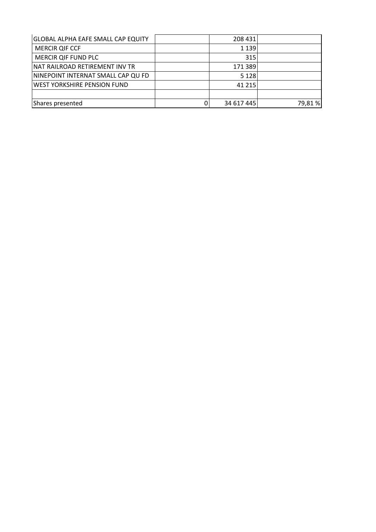| <b>GLOBAL ALPHA EAFE SMALL CAP EQUITY</b> | 208 431    |         |
|-------------------------------------------|------------|---------|
| <b>MERCIR QIF CCF</b>                     | 1 1 3 9    |         |
| MERCIR QIF FUND PLC                       | 315        |         |
| INAT RAILROAD RETIREMENT INV TR           | 171 389    |         |
| NINEPOINT INTERNAT SMALL CAP QU FD        | 5 1 2 8    |         |
| <b>WEST YORKSHIRE PENSION FUND</b>        | 41 215     |         |
|                                           |            |         |
| Shares presented                          | 34 617 445 | 79,81 % |